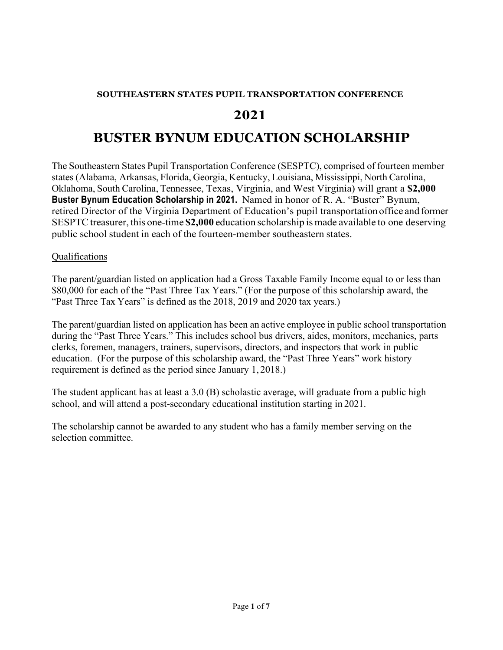## **SOUTHEASTERN STATES PUPIL TRANSPORTATION CONFERENCE**

# **2021**

# **BUSTER BYNUM EDUCATION SCHOLARSHIP**

The Southeastern States Pupil Transportation Conference (SESPTC), comprised of fourteen member states (Alabama, Arkansas, Florida, Georgia, Kentucky, Louisiana, Mississippi, North Carolina, Oklahoma, South Carolina, Tennessee, Texas, Virginia, and West Virginia) will grant a **\$2,000 Buster Bynum Education Scholarship in 2021.** Named in honor of R. A. "Buster" Bynum, retired Director of the Virginia Department of Education's pupil transportation office and former SESPTC treasurer, this one-time **\$2,000** education scholarship is made available to one deserving public school student in each of the fourteen-member southeastern states.

# Qualifications

The parent/guardian listed on application had a Gross Taxable Family Income equal to or less than \$80,000 for each of the "Past Three Tax Years." (For the purpose of this scholarship award, the "Past Three Tax Years" is defined as the 2018, 2019 and 2020 tax years.)

The parent/guardian listed on application has been an active employee in public school transportation during the "Past Three Years." This includes school bus drivers, aides, monitors, mechanics, parts clerks, foremen, managers, trainers, supervisors, directors, and inspectors that work in public education. (For the purpose of this scholarship award, the "Past Three Years" work history requirement is defined as the period since January 1, 2018.)

The student applicant has at least a 3.0 (B) scholastic average, will graduate from a public high school, and will attend a post-secondary educational institution starting in 2021.

The scholarship cannot be awarded to any student who has a family member serving on the selection committee.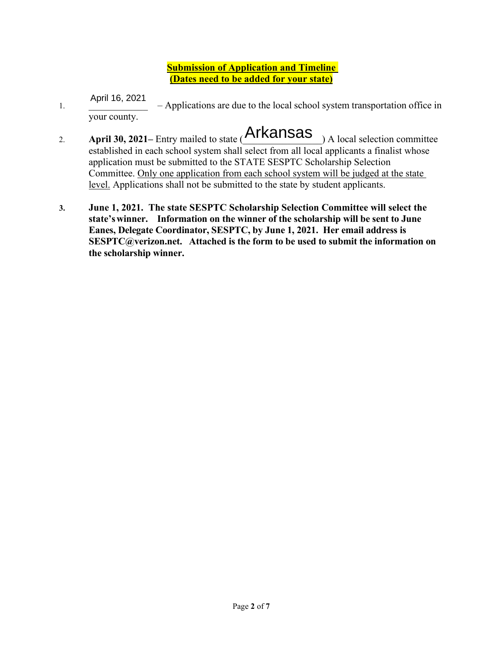# **Submission of Application and Timeline (Dates need to be added for your state)**

- 1. \_\_\_\_\_\_\_\_\_\_\_\_ Applications are due to the local school system transportation office in your county. April 16, 2021
- 2. **April 30, 2021** Entry mailed to state (**Arkansas**) A local selection committee established in each school system shall select from all local applicants a finalist whose application must be submitted to the STATE SESPTC Scholarship Selection Committee. Only one application from each school system will be judged at the state level. Applications shall not be submitted to the state by student applicants.
- **3. June 1, 2021. The state SESPTC Scholarship Selection Committee will select the state'swinner. Information on the winner of the scholarship will be sent to June Eanes, Delegate Coordinator, SESPTC, by June 1, 2021. Her email address is SESPTC@verizon.net. Attached is the form to be used to submit the information on the scholarship winner.**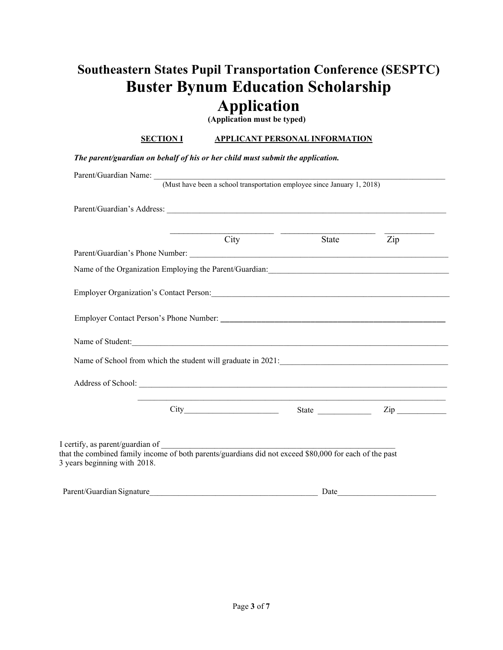# **Southeastern States Pupil Transportation Conference (SESPTC) Buster Bynum Education Scholarship Application**

**(Application must be typed)**

## **SECTION I APPLICANT PERSONAL INFORMATION**

|  |  | The parent/guardian on behalf of his or her child must submit the application. |
|--|--|--------------------------------------------------------------------------------|
|  |  |                                                                                |

| Parent/Guardian Name: (Must have been a school transportation employee since January 1, 2018)                                                                                                                                 |      |       |                     |
|-------------------------------------------------------------------------------------------------------------------------------------------------------------------------------------------------------------------------------|------|-------|---------------------|
|                                                                                                                                                                                                                               |      |       |                     |
|                                                                                                                                                                                                                               | City | State | Zip                 |
|                                                                                                                                                                                                                               |      |       |                     |
|                                                                                                                                                                                                                               |      |       |                     |
| Employer Organization's Contact Person: Maria Contact Person: Maria Contact Person: Maria Contact Person: Maria Contact Person: Maria Contact Person: Maria Contact Person: Maria Contact Person: Maria Contact Person: Maria |      |       |                     |
|                                                                                                                                                                                                                               |      |       |                     |
| Name of Student:                                                                                                                                                                                                              |      |       |                     |
| Name of School from which the student will graduate in 2021:<br><u>Letting and the student will graduate in</u> 2021:                                                                                                         |      |       |                     |
|                                                                                                                                                                                                                               |      |       |                     |
|                                                                                                                                                                                                                               |      |       | $\mathsf{Zip} \_\_$ |
|                                                                                                                                                                                                                               |      |       |                     |
| I certify, as parent/guardian of<br>that the combined family income of both parents/guardians did not exceed \$80,000 for each of the past<br>3 years beginning with 2018.                                                    |      |       |                     |

| Parent/Guardian S<br>,<br>Signature |  |  |
|-------------------------------------|--|--|
|                                     |  |  |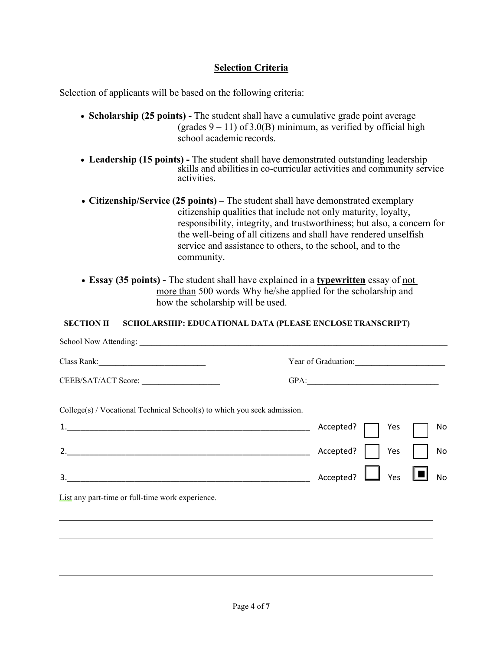# **Selection Criteria**

Selection of applicants will be based on the following criteria:

- **Scholarship (25 points)** The student shall have a cumulative grade point average (grades  $9 - 11$ ) of 3.0(B) minimum, as verified by official high school academic records.
- Leadership (15 points) The student shall have demonstrated outstanding leadership skills and abilities in co-curricular activities and community service activities.
- **Citizenship/Service (25 points)** The student shall have demonstrated exemplary citizenship qualities that include not only maturity, loyalty, responsibility, integrity, and trustworthiness; but also, a concern for the well-being of all citizens and shall have rendered unselfish service and assistance to others, to the school, and to the community.
- **Essay (35 points)** The student shall have explained in a **typewritten** essay of not more than 500 words Why he/she applied for the scholarship and how the scholarship will be used.

## **SECTION II SCHOLARSHIP: EDUCATIONAL DATA (PLEASE ENCLOSE TRANSCRIPT)**

|                                                                            | Year of Graduation:            |
|----------------------------------------------------------------------------|--------------------------------|
| CEEB/SAT/ACT Score:                                                        | GPA:                           |
| $College(s) / Vocational Technical School(s)$ to which you seek admission. |                                |
|                                                                            | Yes<br>Accepted?<br>No         |
|                                                                            | Accepted?<br>Yes<br>No         |
| 3.                                                                         | $\perp$ Yes<br>Accepted?<br>No |
| List any part-time or full-time work experience.                           |                                |
|                                                                            |                                |
|                                                                            |                                |
|                                                                            |                                |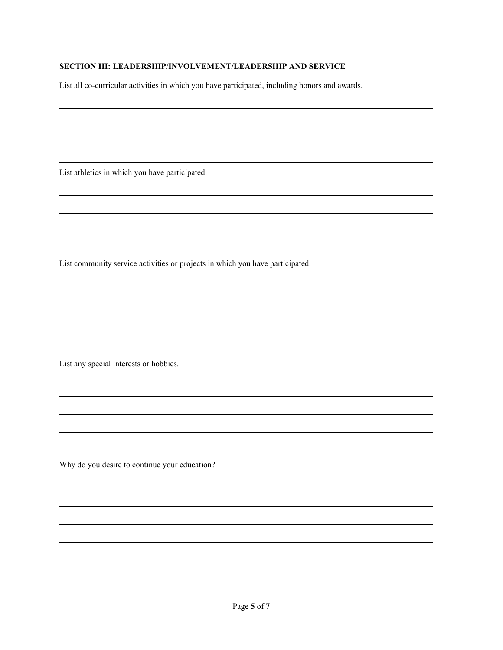#### **SECTION III: LEADERSHIP/INVOLVEMENT/LEADERSHIP AND SERVICE**

List all co-curricular activities in which you have participated, including honors and awards.

List athletics in which you have participated.

List community service activities or projects in which you have participated.

List any special interests or hobbies.

Why do you desire to continue your education?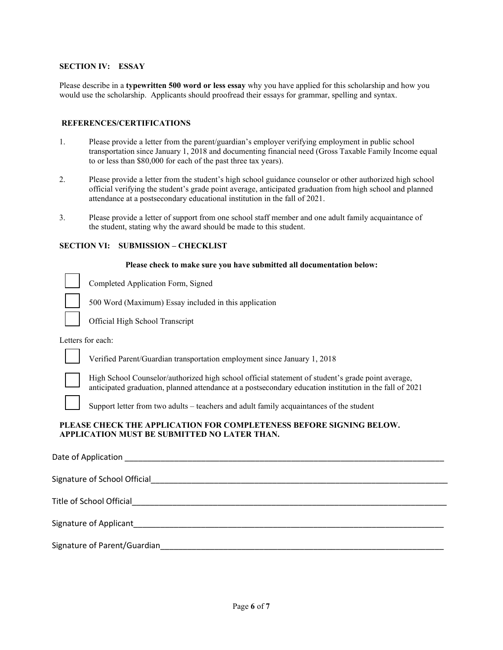#### **SECTION IV: ESSAY**

Please describe in a **typewritten 500 word or less essay** why you have applied for this scholarship and how you would use the scholarship. Applicants should proofread their essays for grammar, spelling and syntax.

#### **REFERENCES/CERTIFICATIONS**

- 1. Please provide a letter from the parent/guardian's employer verifying employment in public school transportation since January 1, 2018 and documenting financial need (Gross Taxable Family Income equal to or less than \$80,000 for each of the past three tax years).
- 2. Please provide a letter from the student's high school guidance counselor or other authorized high school official verifying the student's grade point average, anticipated graduation from high school and planned attendance at a postsecondary educational institution in the fall of 2021.
- 3. Please provide a letter of support from one school staff member and one adult family acquaintance of the student, stating why the award should be made to this student.

#### **SECTION VI: SUBMISSION – CHECKLIST**

#### **Please check to make sure you have submitted all documentation below:**

Completed Application Form, Signed

500 Word (Maximum) Essay included in this application

Official High School Transcript

Letters for each:

Verified Parent/Guardian transportation employment since January 1, 2018



High School Counselor/authorized high school official statement of student's grade point average, anticipated graduation, planned attendance at a postsecondary education institution in the fall of 2021

Support letter from two adults – teachers and adult family acquaintances of the student

#### **PLEASE CHECK THE APPLICATION FOR COMPLETENESS BEFORE SIGNING BELOW. APPLICATION MUST BE SUBMITTED NO LATER THAN.**

| Signature of Applicant and Contract and Contract of Applicant                                                                                                                                                                  |
|--------------------------------------------------------------------------------------------------------------------------------------------------------------------------------------------------------------------------------|
| Signature of Parent/Guardian and Contract and Contract of Parents and Contract and Contract of Parents and Contract of the Contract of the Contract of the Contract of the Contract of the Contract of the Contract of the Con |